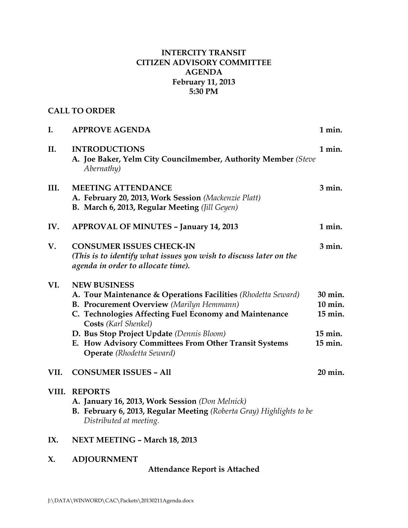# **INTERCITY TRANSIT CITIZEN ADVISORY COMMITTEE AGENDA February 11, 2013 5:30 PM**

# **CALL TO ORDER**

| II.   | <b>INTRODUCTIONS</b><br>A. Joe Baker, Yelm City Councilmember, Authority Member (Steve<br>Abernathy)                                                                                                                                                                                                                                                                 | 1 min.                                              |
|-------|----------------------------------------------------------------------------------------------------------------------------------------------------------------------------------------------------------------------------------------------------------------------------------------------------------------------------------------------------------------------|-----------------------------------------------------|
| III.  | <b>MEETING ATTENDANCE</b><br>A. February 20, 2013, Work Session (Mackenzie Platt)<br>B. March 6, 2013, Regular Meeting (Jill Geyen)                                                                                                                                                                                                                                  | $3$ min.                                            |
| IV.   | <b>APPROVAL OF MINUTES - January 14, 2013</b>                                                                                                                                                                                                                                                                                                                        | 1 min.                                              |
| V.    | <b>CONSUMER ISSUES CHECK-IN</b><br>(This is to identify what issues you wish to discuss later on the<br>agenda in order to allocate time).                                                                                                                                                                                                                           | $3$ min.                                            |
| VI.   | <b>NEW BUSINESS</b><br>A. Tour Maintenance & Operations Facilities (Rhodetta Seward)<br><b>B. Procurement Overview</b> (Marilyn Hemmann)<br>C. Technologies Affecting Fuel Economy and Maintenance<br>Costs (Karl Shenkel)<br>D. Bus Stop Project Update (Dennis Bloom)<br>E. How Advisory Committees From Other Transit Systems<br><b>Operate</b> (Rhodetta Seward) | 30 min.<br>10 min.<br>15 min.<br>15 min.<br>15 min. |
| VII.  | <b>CONSUMER ISSUES - All</b>                                                                                                                                                                                                                                                                                                                                         | 20 min.                                             |
| VIII. | <b>REPORTS</b><br>A. January 16, 2013, Work Session (Don Melnick)<br>B. February 6, 2013, Regular Meeting (Roberta Gray) Highlights to be<br>Distributed at meeting.                                                                                                                                                                                                 |                                                     |
| IX.   | NEXT MEETING - March 18, 2013                                                                                                                                                                                                                                                                                                                                        |                                                     |

**X. ADJOURNMENT**

# **Attendance Report is Attached**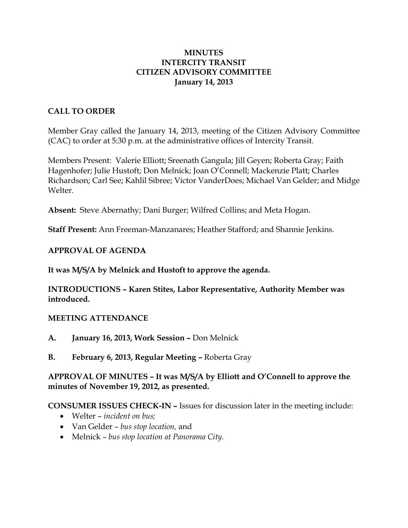## **MINUTES INTERCITY TRANSIT CITIZEN ADVISORY COMMITTEE January 14, 2013**

# **CALL TO ORDER**

Member Gray called the January 14, 2013, meeting of the Citizen Advisory Committee (CAC) to order at 5:30 p.m. at the administrative offices of Intercity Transit.

Members Present: Valerie Elliott; Sreenath Gangula; Jill Geyen; Roberta Gray; Faith Hagenhofer; Julie Hustoft; Don Melnick; Joan O'Connell; Mackenzie Platt; Charles Richardson; Carl See; Kahlil Sibree; Victor VanderDoes; Michael Van Gelder; and Midge Welter.

**Absent:** Steve Abernathy; Dani Burger; Wilfred Collins; and Meta Hogan.

**Staff Present:** Ann Freeman-Manzanares; Heather Stafford; and Shannie Jenkins.

# **APPROVAL OF AGENDA**

**It was M/S/A by Melnick and Hustoft to approve the agenda.**

**INTRODUCTIONS – Karen Stites, Labor Representative, Authority Member was introduced.** 

### **MEETING ATTENDANCE**

- **A. January 16, 2013, Work Session –** Don Melnick
- **B. February 6, 2013, Regular Meeting –** Roberta Gray

# **APPROVAL OF MINUTES – It was M/S/A by Elliott and O'Connell to approve the minutes of November 19, 2012, as presented.**

### **CONSUMER ISSUES CHECK-IN –** Issues for discussion later in the meeting include:

- Welter *incident on bus;*
- Van Gelder *bus stop location,* and
- Melnick *bus stop location at Panorama City.*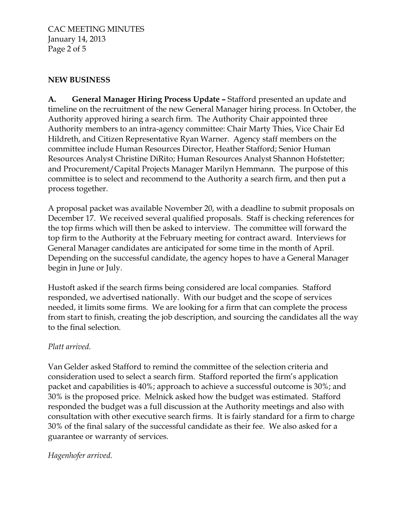CAC MEETING MINUTES January 14, 2013 Page 2 of 5

# **NEW BUSINESS**

**A. General Manager Hiring Process Update –** Stafford presented an update and timeline on the recruitment of the new General Manager hiring process. In October, the Authority approved hiring a search firm. The Authority Chair appointed three Authority members to an intra-agency committee: Chair Marty Thies, Vice Chair Ed Hildreth, and Citizen Representative Ryan Warner. Agency staff members on the committee include Human Resources Director, Heather Stafford; Senior Human Resources Analyst Christine DiRito; Human Resources Analyst Shannon Hofstetter; and Procurement/Capital Projects Manager Marilyn Hemmann. The purpose of this committee is to select and recommend to the Authority a search firm, and then put a process together.

A proposal packet was available November 20, with a deadline to submit proposals on December 17. We received several qualified proposals. Staff is checking references for the top firms which will then be asked to interview. The committee will forward the top firm to the Authority at the February meeting for contract award. Interviews for General Manager candidates are anticipated for some time in the month of April. Depending on the successful candidate, the agency hopes to have a General Manager begin in June or July.

Hustoft asked if the search firms being considered are local companies. Stafford responded, we advertised nationally. With our budget and the scope of services needed, it limits some firms. We are looking for a firm that can complete the process from start to finish, creating the job description, and sourcing the candidates all the way to the final selection.

### *Platt arrived.*

Van Gelder asked Stafford to remind the committee of the selection criteria and consideration used to select a search firm. Stafford reported the firm's application packet and capabilities is 40%; approach to achieve a successful outcome is 30%; and 30% is the proposed price. Melnick asked how the budget was estimated. Stafford responded the budget was a full discussion at the Authority meetings and also with consultation with other executive search firms. It is fairly standard for a firm to charge 30% of the final salary of the successful candidate as their fee. We also asked for a guarantee or warranty of services.

# *Hagenhofer arrived.*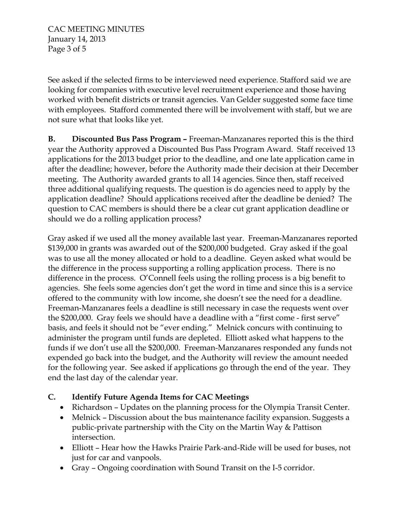See asked if the selected firms to be interviewed need experience. Stafford said we are looking for companies with executive level recruitment experience and those having worked with benefit districts or transit agencies. Van Gelder suggested some face time with employees. Stafford commented there will be involvement with staff, but we are not sure what that looks like yet.

**B. Discounted Bus Pass Program –** Freeman-Manzanares reported this is the third year the Authority approved a Discounted Bus Pass Program Award. Staff received 13 applications for the 2013 budget prior to the deadline, and one late application came in after the deadline; however, before the Authority made their decision at their December meeting. The Authority awarded grants to all 14 agencies. Since then, staff received three additional qualifying requests. The question is do agencies need to apply by the application deadline? Should applications received after the deadline be denied? The question to CAC members is should there be a clear cut grant application deadline or should we do a rolling application process?

Gray asked if we used all the money available last year. Freeman-Manzanares reported \$139,000 in grants was awarded out of the \$200,000 budgeted. Gray asked if the goal was to use all the money allocated or hold to a deadline. Geyen asked what would be the difference in the process supporting a rolling application process. There is no difference in the process. O'Connell feels using the rolling process is a big benefit to agencies. She feels some agencies don't get the word in time and since this is a service offered to the community with low income, she doesn't see the need for a deadline. Freeman-Manzanares feels a deadline is still necessary in case the requests went over the \$200,000. Gray feels we should have a deadline with a "first come - first serve" basis, and feels it should not be "ever ending." Melnick concurs with continuing to administer the program until funds are depleted. Elliott asked what happens to the funds if we don't use all the \$200,000. Freeman-Manzanares responded any funds not expended go back into the budget, and the Authority will review the amount needed for the following year. See asked if applications go through the end of the year. They end the last day of the calendar year.

# **C. Identify Future Agenda Items for CAC Meetings**

- Richardson Updates on the planning process for the Olympia Transit Center.
- Melnick Discussion about the bus maintenance facility expansion. Suggests a public-private partnership with the City on the Martin Way & Pattison intersection.
- Elliott Hear how the Hawks Prairie Park-and-Ride will be used for buses, not just for car and vanpools.
- Gray Ongoing coordination with Sound Transit on the I-5 corridor.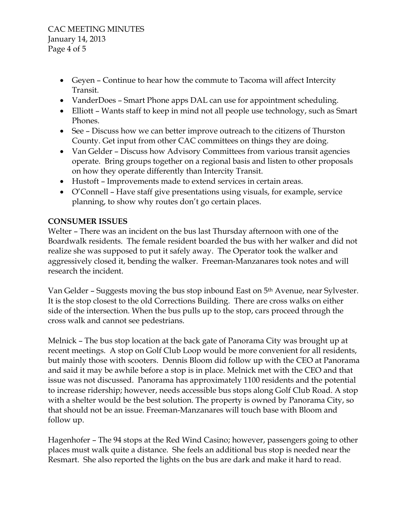- Geyen Continue to hear how the commute to Tacoma will affect Intercity Transit.
- VanderDoes Smart Phone apps DAL can use for appointment scheduling.
- Elliott Wants staff to keep in mind not all people use technology, such as Smart Phones.
- See Discuss how we can better improve outreach to the citizens of Thurston County. Get input from other CAC committees on things they are doing.
- Van Gelder Discuss how Advisory Committees from various transit agencies operate. Bring groups together on a regional basis and listen to other proposals on how they operate differently than Intercity Transit.
- Hustoft Improvements made to extend services in certain areas.
- O'Connell Have staff give presentations using visuals, for example, service planning, to show why routes don't go certain places.

# **CONSUMER ISSUES**

Welter – There was an incident on the bus last Thursday afternoon with one of the Boardwalk residents. The female resident boarded the bus with her walker and did not realize she was supposed to put it safely away. The Operator took the walker and aggressively closed it, bending the walker. Freeman-Manzanares took notes and will research the incident.

Van Gelder – Suggests moving the bus stop inbound East on 5th Avenue, near Sylvester. It is the stop closest to the old Corrections Building. There are cross walks on either side of the intersection. When the bus pulls up to the stop, cars proceed through the cross walk and cannot see pedestrians.

Melnick – The bus stop location at the back gate of Panorama City was brought up at recent meetings. A stop on Golf Club Loop would be more convenient for all residents, but mainly those with scooters. Dennis Bloom did follow up with the CEO at Panorama and said it may be awhile before a stop is in place. Melnick met with the CEO and that issue was not discussed. Panorama has approximately 1100 residents and the potential to increase ridership; however, needs accessible bus stops along Golf Club Road. A stop with a shelter would be the best solution. The property is owned by Panorama City, so that should not be an issue. Freeman-Manzanares will touch base with Bloom and follow up.

Hagenhofer – The 94 stops at the Red Wind Casino; however, passengers going to other places must walk quite a distance. She feels an additional bus stop is needed near the Resmart. She also reported the lights on the bus are dark and make it hard to read.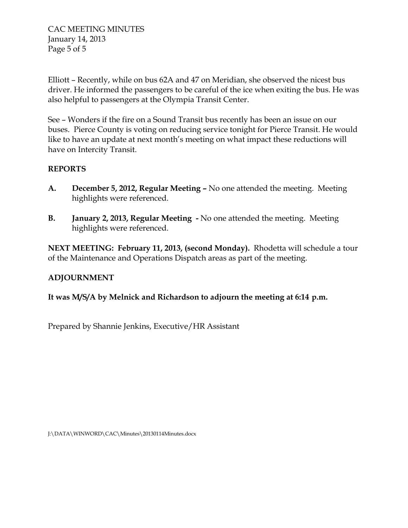CAC MEETING MINUTES January 14, 2013 Page 5 of 5

Elliott – Recently, while on bus 62A and 47 on Meridian, she observed the nicest bus driver. He informed the passengers to be careful of the ice when exiting the bus. He was also helpful to passengers at the Olympia Transit Center.

See – Wonders if the fire on a Sound Transit bus recently has been an issue on our buses. Pierce County is voting on reducing service tonight for Pierce Transit. He would like to have an update at next month's meeting on what impact these reductions will have on Intercity Transit.

# **REPORTS**

- **A. December 5, 2012, Regular Meeting –** No one attended the meeting. Meeting highlights were referenced.
- **B. January 2, 2013, Regular Meeting -** No one attended the meeting. Meeting highlights were referenced.

**NEXT MEETING: February 11, 2013, (second Monday).** Rhodetta will schedule a tour of the Maintenance and Operations Dispatch areas as part of the meeting.

# **ADJOURNMENT**

**It was M/S/A by Melnick and Richardson to adjourn the meeting at 6:14 p.m.**

Prepared by Shannie Jenkins, Executive/HR Assistant

J:\DATA\WINWORD\CAC\Minutes\20130114Minutes.docx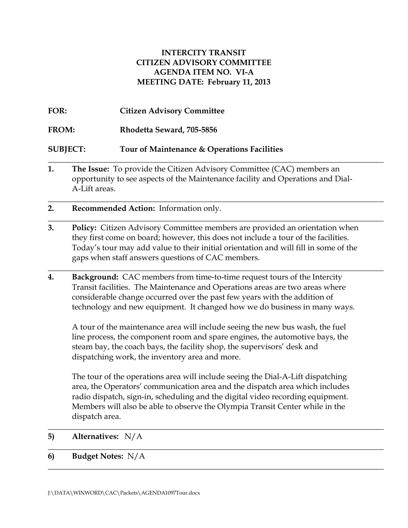## **INTERCITY TRANSIT CITIZEN ADVISORY COMMITTEE AGENDA ITEM NO. VI-A MEETING DATE: February 11, 2013**

- **FOR: Citizen Advisory Committee FROM: Rhodetta Seward, 705-5856 SUBJECT: Tour of Maintenance & Operations Facilities \_\_\_\_\_\_\_\_\_\_\_\_\_\_\_\_\_\_\_\_\_\_\_\_\_\_\_\_\_\_\_\_\_\_\_\_\_\_\_\_\_\_\_\_\_\_\_\_\_\_\_\_\_\_\_\_\_\_\_\_\_\_\_\_\_\_\_\_\_\_\_\_\_\_\_\_\_\_\_\_\_\_\_\_**
- **1. The Issue:** To provide the Citizen Advisory Committee (CAC) members an opportunity to see aspects of the Maintenance facility and Operations and Dial-A-Lift areas.

**\_\_\_\_\_\_\_\_\_\_\_\_\_\_\_\_\_\_\_\_\_\_\_\_\_\_\_\_\_\_\_\_\_\_\_\_\_\_\_\_\_\_\_\_\_\_\_\_\_\_\_\_\_\_\_\_\_\_\_\_\_\_\_\_\_\_\_\_\_\_\_\_\_\_\_\_\_\_\_\_\_\_\_\_**

**\_\_\_\_\_\_\_\_\_\_\_\_\_\_\_\_\_\_\_\_\_\_\_\_\_\_\_\_\_\_\_\_\_\_\_\_\_\_\_\_\_\_\_\_\_\_\_\_\_\_\_\_\_\_\_\_\_\_\_\_\_\_\_\_\_\_\_\_\_\_\_\_\_\_\_\_\_\_\_\_\_\_\_\_**

**\_\_\_\_\_\_\_\_\_\_\_\_\_\_\_\_\_\_\_\_\_\_\_\_\_\_\_\_\_\_\_\_\_\_\_\_\_\_\_\_\_\_\_\_\_\_\_\_\_\_\_\_\_\_\_\_\_\_\_\_\_\_\_\_\_\_\_\_\_\_\_\_\_\_\_\_\_\_\_\_\_\_\_\_**

- **2. Recommended Action:** Information only.
- **3. Policy:** Citizen Advisory Committee members are provided an orientation when they first come on board; however, this does not include a tour of the facilities. Today's tour may add value to their initial orientation and will fill in some of the gaps when staff answers questions of CAC members.
- **4. Background:** CAC members from time-to-time request tours of the Intercity Transit facilities. The Maintenance and Operations areas are two areas where considerable change occurred over the past few years with the addition of technology and new equipment. It changed how we do business in many ways.

A tour of the maintenance area will include seeing the new bus wash, the fuel line process, the component room and spare engines, the automotive bays, the steam bay, the coach bays, the facility shop, the supervisors' desk and dispatching work, the inventory area and more.

The tour of the operations area will include seeing the Dial-A-Lift dispatching area, the Operators' communication area and the dispatch area which includes radio dispatch, sign-in, scheduling and the digital video recording equipment. Members will also be able to observe the Olympia Transit Center while in the dispatch area.

\_\_\_\_\_\_\_\_\_\_\_\_\_\_\_\_\_\_\_\_\_\_\_\_\_\_\_\_\_\_\_\_\_\_\_\_\_\_\_\_\_\_\_\_\_\_\_\_\_\_\_\_\_\_\_\_\_\_\_\_\_\_\_\_\_\_\_\_\_\_\_\_\_\_\_\_\_\_\_\_\_\_\_\_

 $\_$  , and the set of the set of the set of the set of the set of the set of the set of the set of the set of the set of the set of the set of the set of the set of the set of the set of the set of the set of the set of th

\_\_\_\_\_\_\_\_\_\_\_\_\_\_\_\_\_\_\_\_\_\_\_\_\_\_\_\_\_\_\_\_\_\_\_\_\_\_\_\_\_\_\_\_\_\_\_\_\_\_\_\_\_\_\_\_\_\_\_\_\_\_\_\_\_\_\_\_\_\_\_\_\_\_\_\_\_\_\_\_\_\_\_\_

**5) Alternatives:** N/A

### **6) Budget Notes:** N/A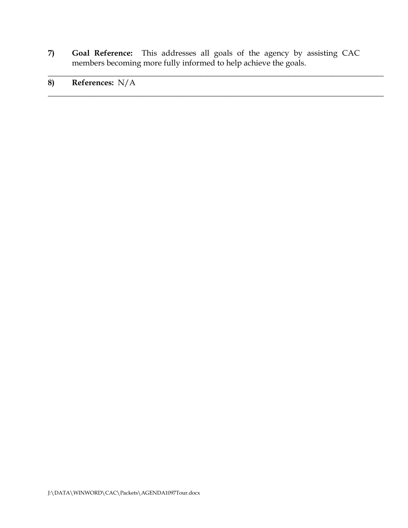**7) Goal Reference:** This addresses all goals of the agency by assisting CAC members becoming more fully informed to help achieve the goals.

\_\_\_\_\_\_\_\_\_\_\_\_\_\_\_\_\_\_\_\_\_\_\_\_\_\_\_\_\_\_\_\_\_\_\_\_\_\_\_\_\_\_\_\_\_\_\_\_\_\_\_\_\_\_\_\_\_\_\_\_\_\_\_\_\_\_\_\_\_\_\_\_\_\_\_\_\_\_\_\_\_\_\_\_

\_\_\_\_\_\_\_\_\_\_\_\_\_\_\_\_\_\_\_\_\_\_\_\_\_\_\_\_\_\_\_\_\_\_\_\_\_\_\_\_\_\_\_\_\_\_\_\_\_\_\_\_\_\_\_\_\_\_\_\_\_\_\_\_\_\_\_\_\_\_\_\_\_\_\_\_\_\_\_\_\_\_\_\_

**8) References:** N/A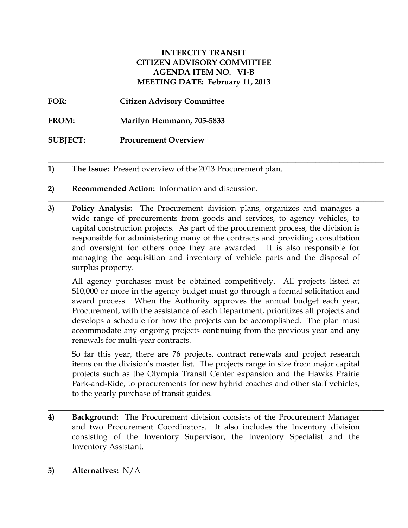## **INTERCITY TRANSIT CITIZEN ADVISORY COMMITTEE AGENDA ITEM NO. VI-B MEETING DATE: February 11, 2013**

**FOR: Citizen Advisory Committee** 

**FROM: Marilyn Hemmann, 705-5833**

**SUBJECT: Procurement Overview**

**1) The Issue:** Present overview of the 2013 Procurement plan.

# **2) Recommended Action:** Information and discussion.

**3) Policy Analysis:** The Procurement division plans, organizes and manages a wide range of procurements from goods and services, to agency vehicles, to capital construction projects. As part of the procurement process, the division is responsible for administering many of the contracts and providing consultation and oversight for others once they are awarded. It is also responsible for managing the acquisition and inventory of vehicle parts and the disposal of surplus property.

**\_\_\_\_\_\_\_\_\_\_\_\_\_\_\_\_\_\_\_\_\_\_\_\_\_\_\_\_\_\_\_\_\_\_\_\_\_\_\_\_\_\_\_\_\_\_\_\_\_\_\_\_\_\_\_\_\_\_\_\_\_\_\_\_\_\_\_\_\_\_\_\_\_\_\_\_\_\_\_\_\_\_\_\_**

\_\_\_\_\_\_\_\_\_\_\_\_\_\_\_\_\_\_\_\_\_\_\_\_\_\_\_\_\_\_\_\_\_\_\_\_\_\_\_\_\_\_\_\_\_\_\_\_\_\_\_\_\_\_\_\_\_\_\_\_\_\_\_\_\_\_\_\_\_\_\_\_\_\_\_\_\_\_\_\_\_\_\_\_

\_\_\_\_\_\_\_\_\_\_\_\_\_\_\_\_\_\_\_\_\_\_\_\_\_\_\_\_\_\_\_\_\_\_\_\_\_\_\_\_\_\_\_\_\_\_\_\_\_\_\_\_\_\_\_\_\_\_\_\_\_\_\_\_\_\_\_\_\_\_\_\_\_\_\_\_\_\_\_\_\_\_\_\_

All agency purchases must be obtained competitively. All projects listed at \$10,000 or more in the agency budget must go through a formal solicitation and award process. When the Authority approves the annual budget each year, Procurement, with the assistance of each Department, prioritizes all projects and develops a schedule for how the projects can be accomplished. The plan must accommodate any ongoing projects continuing from the previous year and any renewals for multi-year contracts.

So far this year, there are 76 projects, contract renewals and project research items on the division's master list. The projects range in size from major capital projects such as the Olympia Transit Center expansion and the Hawks Prairie Park-and-Ride, to procurements for new hybrid coaches and other staff vehicles, to the yearly purchase of transit guides.

\_\_\_\_\_\_\_\_\_\_\_\_\_\_\_\_\_\_\_\_\_\_\_\_\_\_\_\_\_\_\_\_\_\_\_\_\_\_\_\_\_\_\_\_\_\_\_\_\_\_\_\_\_\_\_\_\_\_\_\_\_\_\_\_\_\_\_\_\_\_\_\_\_\_\_\_\_\_\_\_\_\_\_\_

\_\_\_\_\_\_\_\_\_\_\_\_\_\_\_\_\_\_\_\_\_\_\_\_\_\_\_\_\_\_\_\_\_\_\_\_\_\_\_\_\_\_\_\_\_\_\_\_\_\_\_\_\_\_\_\_\_\_\_\_\_\_\_\_\_\_\_\_\_\_\_\_\_\_\_\_\_\_\_\_\_\_\_\_

**4) Background:** The Procurement division consists of the Procurement Manager and two Procurement Coordinators. It also includes the Inventory division consisting of the Inventory Supervisor, the Inventory Specialist and the Inventory Assistant.

**5) Alternatives:** N/A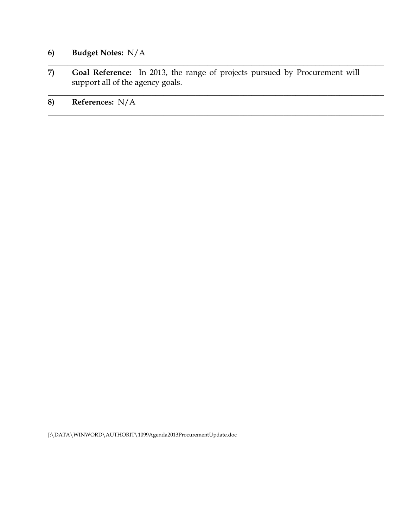# **6) Budget Notes:** N/A

**7) Goal Reference:** In 2013, the range of projects pursued by Procurement will support all of the agency goals.

\_\_\_\_\_\_\_\_\_\_\_\_\_\_\_\_\_\_\_\_\_\_\_\_\_\_\_\_\_\_\_\_\_\_\_\_\_\_\_\_\_\_\_\_\_\_\_\_\_\_\_\_\_\_\_\_\_\_\_\_\_\_\_\_\_\_\_\_\_\_\_\_\_\_\_\_\_\_\_\_\_\_\_\_

\_\_\_\_\_\_\_\_\_\_\_\_\_\_\_\_\_\_\_\_\_\_\_\_\_\_\_\_\_\_\_\_\_\_\_\_\_\_\_\_\_\_\_\_\_\_\_\_\_\_\_\_\_\_\_\_\_\_\_\_\_\_\_\_\_\_\_\_\_\_\_\_\_\_\_\_\_\_\_\_\_\_\_\_

 $\_$  , and the set of the set of the set of the set of the set of the set of the set of the set of the set of the set of the set of the set of the set of the set of the set of the set of the set of the set of the set of th

# **8) References:** N/A

J:\DATA\WINWORD\AUTHORIT\1099Agenda2013ProcurementUpdate.doc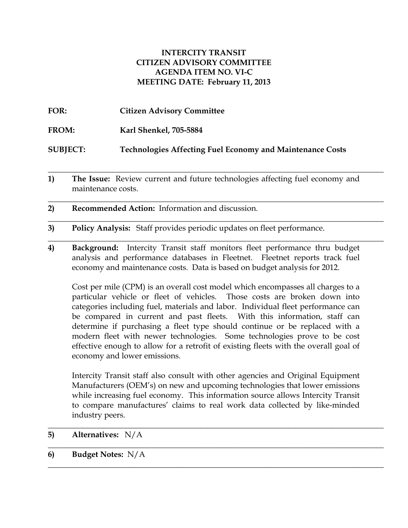## **INTERCITY TRANSIT CITIZEN ADVISORY COMMITTEE AGENDA ITEM NO. VI-C MEETING DATE: February 11, 2013**

**FOR: Citizen Advisory Committee FROM: Karl Shenkel, 705-5884 SUBJECT: Technologies Affecting Fuel Economy and Maintenance Costs**

**1) The Issue:** Review current and future technologies affecting fuel economy and maintenance costs.

**\_\_\_\_\_\_\_\_\_\_\_\_\_\_\_\_\_\_\_\_\_\_\_\_\_\_\_\_\_\_\_\_\_\_\_\_\_\_\_\_\_\_\_\_\_\_\_\_\_\_\_\_\_\_\_\_\_\_\_\_\_\_\_\_\_\_\_\_\_\_\_\_\_\_\_\_\_\_\_\_\_\_\_\_**

\_\_\_\_\_\_\_\_\_\_\_\_\_\_\_\_\_\_\_\_\_\_\_\_\_\_\_\_\_\_\_\_\_\_\_\_\_\_\_\_\_\_\_\_\_\_\_\_\_\_\_\_\_\_\_\_\_\_\_\_\_\_\_\_\_\_\_\_\_\_\_\_\_\_\_\_\_\_\_\_\_\_\_\_

\_\_\_\_\_\_\_\_\_\_\_\_\_\_\_\_\_\_\_\_\_\_\_\_\_\_\_\_\_\_\_\_\_\_\_\_\_\_\_\_\_\_\_\_\_\_\_\_\_\_\_\_\_\_\_\_\_\_\_\_\_\_\_\_\_\_\_\_\_\_\_\_\_\_\_\_\_\_\_\_\_\_\_\_

\_\_\_\_\_\_\_\_\_\_\_\_\_\_\_\_\_\_\_\_\_\_\_\_\_\_\_\_\_\_\_\_\_\_\_\_\_\_\_\_\_\_\_\_\_\_\_\_\_\_\_\_\_\_\_\_\_\_\_\_\_\_\_\_\_\_\_\_\_\_\_\_\_\_\_\_\_\_\_\_\_\_\_\_

- **2) Recommended Action:** Information and discussion.
- **3) Policy Analysis:** Staff provides periodic updates on fleet performance.
- **4) Background:** Intercity Transit staff monitors fleet performance thru budget analysis and performance databases in Fleetnet. Fleetnet reports track fuel economy and maintenance costs. Data is based on budget analysis for 2012.

Cost per mile (CPM) is an overall cost model which encompasses all charges to a particular vehicle or fleet of vehicles. Those costs are broken down into categories including fuel, materials and labor. Individual fleet performance can be compared in current and past fleets. With this information, staff can determine if purchasing a fleet type should continue or be replaced with a modern fleet with newer technologies. Some technologies prove to be cost effective enough to allow for a retrofit of existing fleets with the overall goal of economy and lower emissions.

 Intercity Transit staff also consult with other agencies and Original Equipment Manufacturers (OEM's) on new and upcoming technologies that lower emissions while increasing fuel economy. This information source allows Intercity Transit to compare manufactures' claims to real work data collected by like-minded industry peers.

\_\_\_\_\_\_\_\_\_\_\_\_\_\_\_\_\_\_\_\_\_\_\_\_\_\_\_\_\_\_\_\_\_\_\_\_\_\_\_\_\_\_\_\_\_\_\_\_\_\_\_\_\_\_\_\_\_\_\_\_\_\_\_\_\_\_\_\_\_\_\_\_\_\_\_\_\_\_\_\_\_\_\_\_

\_\_\_\_\_\_\_\_\_\_\_\_\_\_\_\_\_\_\_\_\_\_\_\_\_\_\_\_\_\_\_\_\_\_\_\_\_\_\_\_\_\_\_\_\_\_\_\_\_\_\_\_\_\_\_\_\_\_\_\_\_\_\_\_\_\_\_\_\_\_\_\_\_\_\_\_\_\_\_\_\_\_\_\_

\_\_\_\_\_\_\_\_\_\_\_\_\_\_\_\_\_\_\_\_\_\_\_\_\_\_\_\_\_\_\_\_\_\_\_\_\_\_\_\_\_\_\_\_\_\_\_\_\_\_\_\_\_\_\_\_\_\_\_\_\_\_\_\_\_\_\_\_\_\_\_\_\_\_\_\_\_\_\_\_\_\_\_\_

- **5) Alternatives:** N/A
- **6) Budget Notes:** N/A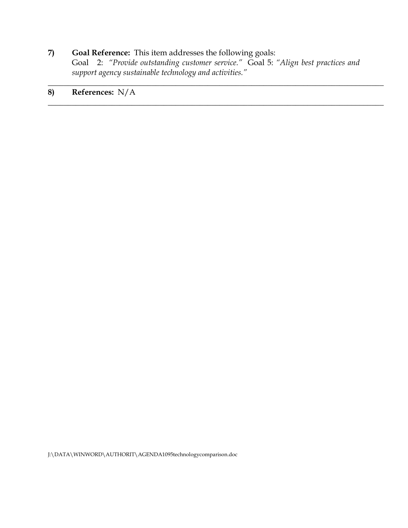# **7) Goal Reference:** This item addresses the following goals:

Goal 2: *"Provide outstanding customer service."* Goal 5: *"Align best practices and support agency sustainable technology and activities."*

\_\_\_\_\_\_\_\_\_\_\_\_\_\_\_\_\_\_\_\_\_\_\_\_\_\_\_\_\_\_\_\_\_\_\_\_\_\_\_\_\_\_\_\_\_\_\_\_\_\_\_\_\_\_\_\_\_\_\_\_\_\_\_\_\_\_\_\_\_\_\_\_\_\_\_\_\_\_\_\_\_\_\_\_

 $\_$  , and the set of the set of the set of the set of the set of the set of the set of the set of the set of the set of the set of the set of the set of the set of the set of the set of the set of the set of the set of th

# **8) References:** N/A

J:\DATA\WINWORD\AUTHORIT\AGENDA1095technologycomparison.doc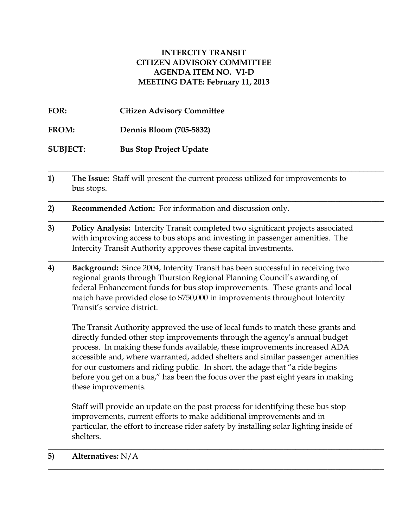# **INTERCITY TRANSIT CITIZEN ADVISORY COMMITTEE AGENDA ITEM NO. VI-D MEETING DATE: February 11, 2013**

**FOR: Citizen Advisory Committee**

**FROM: Dennis Bloom (705-5832)**

**SUBJECT: Bus Stop Project Update**

**1) The Issue:** Staff will present the current process utilized for improvements to bus stops.

**\_\_\_\_\_\_\_\_\_\_\_\_\_\_\_\_\_\_\_\_\_\_\_\_\_\_\_\_\_\_\_\_\_\_\_\_\_\_\_\_\_\_\_\_\_\_\_\_\_\_\_\_\_\_\_\_\_\_\_\_\_\_\_\_\_\_\_\_\_\_\_\_\_\_\_\_\_\_\_\_\_\_\_\_**

\_\_\_\_\_\_\_\_\_\_\_\_\_\_\_\_\_\_\_\_\_\_\_\_\_\_\_\_\_\_\_\_\_\_\_\_\_\_\_\_\_\_\_\_\_\_\_\_\_\_\_\_\_\_\_\_\_\_\_\_\_\_\_\_\_\_\_\_\_\_\_\_\_\_\_\_\_\_\_\_\_\_\_\_

\_\_\_\_\_\_\_\_\_\_\_\_\_\_\_\_\_\_\_\_\_\_\_\_\_\_\_\_\_\_\_\_\_\_\_\_\_\_\_\_\_\_\_\_\_\_\_\_\_\_\_\_\_\_\_\_\_\_\_\_\_\_\_\_\_\_\_\_\_\_\_\_\_\_\_\_\_\_\_\_\_\_\_\_

\_\_\_\_\_\_\_\_\_\_\_\_\_\_\_\_\_\_\_\_\_\_\_\_\_\_\_\_\_\_\_\_\_\_\_\_\_\_\_\_\_\_\_\_\_\_\_\_\_\_\_\_\_\_\_\_\_\_\_\_\_\_\_\_\_\_\_\_\_\_\_\_\_\_\_\_\_\_\_\_\_\_\_\_

**2) Recommended Action:** For information and discussion only.

- **3) Policy Analysis:** Intercity Transit completed two significant projects associated with improving access to bus stops and investing in passenger amenities. The Intercity Transit Authority approves these capital investments.
- **4) Background:** Since 2004, Intercity Transit has been successful in receiving two regional grants through Thurston Regional Planning Council's awarding of federal Enhancement funds for bus stop improvements. These grants and local match have provided close to \$750,000 in improvements throughout Intercity Transit's service district.

The Transit Authority approved the use of local funds to match these grants and directly funded other stop improvements through the agency's annual budget process. In making these funds available, these improvements increased ADA accessible and, where warranted, added shelters and similar passenger amenities for our customers and riding public. In short, the adage that "a ride begins before you get on a bus," has been the focus over the past eight years in making these improvements.

Staff will provide an update on the past process for identifying these bus stop improvements, current efforts to make additional improvements and in particular, the effort to increase rider safety by installing solar lighting inside of shelters.

\_\_\_\_\_\_\_\_\_\_\_\_\_\_\_\_\_\_\_\_\_\_\_\_\_\_\_\_\_\_\_\_\_\_\_\_\_\_\_\_\_\_\_\_\_\_\_\_\_\_\_\_\_\_\_\_\_\_\_\_\_\_\_\_\_\_\_\_\_\_\_\_\_\_\_\_\_\_\_\_\_\_\_\_

\_\_\_\_\_\_\_\_\_\_\_\_\_\_\_\_\_\_\_\_\_\_\_\_\_\_\_\_\_\_\_\_\_\_\_\_\_\_\_\_\_\_\_\_\_\_\_\_\_\_\_\_\_\_\_\_\_\_\_\_\_\_\_\_\_\_\_\_\_\_\_\_\_\_\_\_\_\_\_\_\_\_\_\_

### **5) Alternatives:** N/A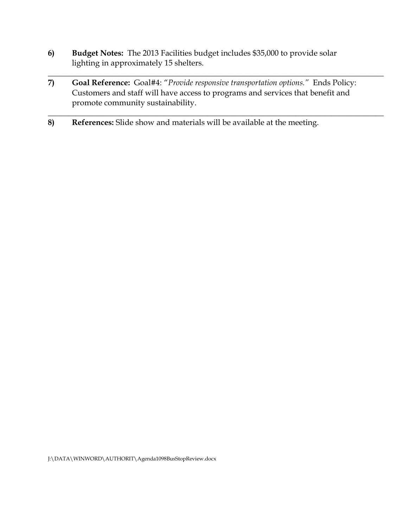- **6) Budget Notes:** The 2013 Facilities budget includes \$35,000 to provide solar lighting in approximately 15 shelters.
- **7) Goal Reference:** Goal#4: "*Provide responsive transportation options."* Ends Policy: Customers and staff will have access to programs and services that benefit and promote community sustainability.

\_\_\_\_\_\_\_\_\_\_\_\_\_\_\_\_\_\_\_\_\_\_\_\_\_\_\_\_\_\_\_\_\_\_\_\_\_\_\_\_\_\_\_\_\_\_\_\_\_\_\_\_\_\_\_\_\_\_\_\_\_\_\_\_\_\_\_\_\_\_\_\_\_\_\_\_\_\_\_\_\_\_\_\_

\_\_\_\_\_\_\_\_\_\_\_\_\_\_\_\_\_\_\_\_\_\_\_\_\_\_\_\_\_\_\_\_\_\_\_\_\_\_\_\_\_\_\_\_\_\_\_\_\_\_\_\_\_\_\_\_\_\_\_\_\_\_\_\_\_\_\_\_\_\_\_\_\_\_\_\_\_\_\_\_\_\_\_\_

**8) References:** Slide show and materials will be available at the meeting.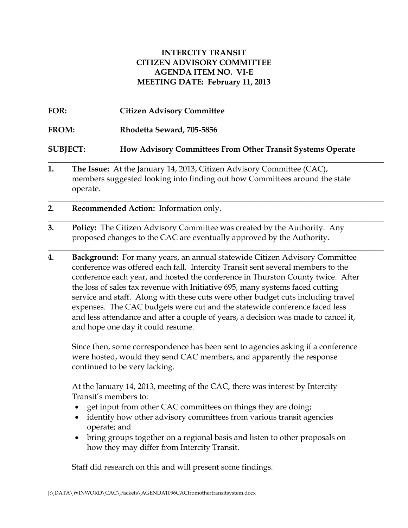# **INTERCITY TRANSIT CITIZEN ADVISORY COMMITTEE AGENDA ITEM NO. VI-E MEETING DATE: February 11, 2013**

- **FOR: Citizen Advisory Committee FROM: Rhodetta Seward, 705-5856 SUBJECT: How Advisory Committees From Other Transit Systems Operate \_\_\_\_\_\_\_\_\_\_\_\_\_\_\_\_\_\_\_\_\_\_\_\_\_\_\_\_\_\_\_\_\_\_\_\_\_\_\_\_\_\_\_\_\_\_\_\_\_\_\_\_\_\_\_\_\_\_\_\_\_\_\_\_\_\_\_\_\_\_\_\_\_\_\_\_\_\_\_\_\_\_\_\_**
- **1. The Issue:** At the January 14, 2013, Citizen Advisory Committee (CAC), members suggested looking into finding out how Committees around the state operate.

**\_\_\_\_\_\_\_\_\_\_\_\_\_\_\_\_\_\_\_\_\_\_\_\_\_\_\_\_\_\_\_\_\_\_\_\_\_\_\_\_\_\_\_\_\_\_\_\_\_\_\_\_\_\_\_\_\_\_\_\_\_\_\_\_\_\_\_\_\_\_\_\_\_\_\_\_\_\_\_\_\_\_\_\_**

**\_\_\_\_\_\_\_\_\_\_\_\_\_\_\_\_\_\_\_\_\_\_\_\_\_\_\_\_\_\_\_\_\_\_\_\_\_\_\_\_\_\_\_\_\_\_\_\_\_\_\_\_\_\_\_\_\_\_\_\_\_\_\_\_\_\_\_\_\_\_\_\_\_\_\_\_\_\_\_\_\_\_\_\_**

**\_\_\_\_\_\_\_\_\_\_\_\_\_\_\_\_\_\_\_\_\_\_\_\_\_\_\_\_\_\_\_\_\_\_\_\_\_\_\_\_\_\_\_\_\_\_\_\_\_\_\_\_\_\_\_\_\_\_\_\_\_\_\_\_\_\_\_\_\_\_\_\_\_\_\_\_\_\_\_\_\_\_\_\_**

- **2. Recommended Action:** Information only.
- **3. Policy:** The Citizen Advisory Committee was created by the Authority. Any proposed changes to the CAC are eventually approved by the Authority.
- **4. Background:** For many years, an annual statewide Citizen Advisory Committee conference was offered each fall. Intercity Transit sent several members to the conference each year, and hosted the conference in Thurston County twice. After the loss of sales tax revenue with Initiative 695, many systems faced cutting service and staff. Along with these cuts were other budget cuts including travel expenses. The CAC budgets were cut and the statewide conference faced less and less attendance and after a couple of years, a decision was made to cancel it, and hope one day it could resume.

Since then, some correspondence has been sent to agencies asking if a conference were hosted, would they send CAC members, and apparently the response continued to be very lacking.

At the January 14, 2013, meeting of the CAC, there was interest by Intercity Transit's members to:

- get input from other CAC committees on things they are doing;
- identify how other advisory committees from various transit agencies operate; and
- bring groups together on a regional basis and listen to other proposals on how they may differ from Intercity Transit.

Staff did research on this and will present some findings.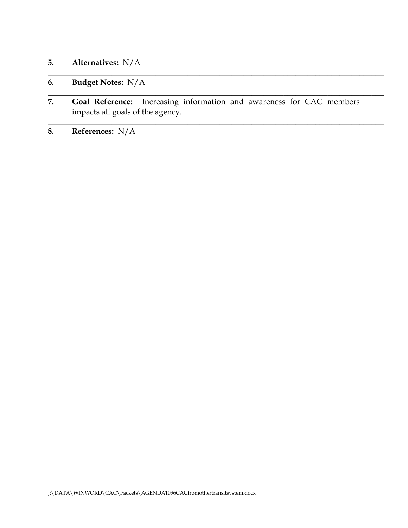- **5. Alternatives:** N/A
- **6. Budget Notes:** N/A
- **7. Goal Reference:** Increasing information and awareness for CAC members impacts all goals of the agency.

**\_\_\_\_\_\_\_\_\_\_\_\_\_\_\_\_\_\_\_\_\_\_\_\_\_\_\_\_\_\_\_\_\_\_\_\_\_\_\_\_\_\_\_\_\_\_\_\_\_\_\_\_\_\_\_\_\_\_\_\_\_\_\_\_\_\_\_\_\_\_\_\_\_\_\_\_\_\_\_\_\_\_\_\_**

**\_\_\_\_\_\_\_\_\_\_\_\_\_\_\_\_\_\_\_\_\_\_\_\_\_\_\_\_\_\_\_\_\_\_\_\_\_\_\_\_\_\_\_\_\_\_\_\_\_\_\_\_\_\_\_\_\_\_\_\_\_\_\_\_\_\_\_\_\_\_\_\_\_\_\_\_\_\_\_\_\_\_\_\_**

**\_\_\_\_\_\_\_\_\_\_\_\_\_\_\_\_\_\_\_\_\_\_\_\_\_\_\_\_\_\_\_\_\_\_\_\_\_\_\_\_\_\_\_\_\_\_\_\_\_\_\_\_\_\_\_\_\_\_\_\_\_\_\_\_\_\_\_\_\_\_\_\_\_\_\_\_\_\_\_\_\_\_\_\_**

**\_\_\_\_\_\_\_\_\_\_\_\_\_\_\_\_\_\_\_\_\_\_\_\_\_\_\_\_\_\_\_\_\_\_\_\_\_\_\_\_\_\_\_\_\_\_\_\_\_\_\_\_\_\_\_\_\_\_\_\_\_\_\_\_\_\_\_\_\_\_\_\_\_\_\_\_\_\_\_\_\_\_\_\_**

**8. References:** N/A